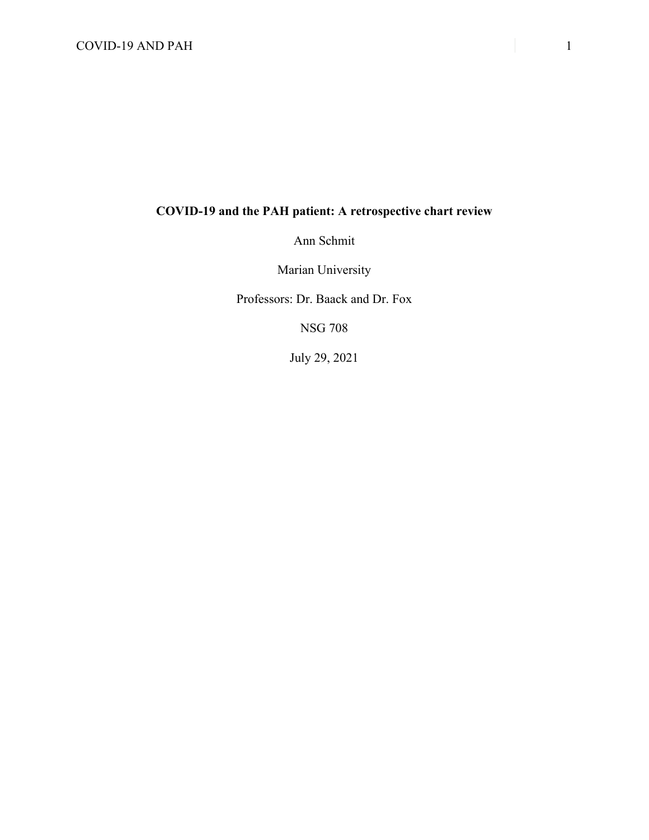# COVID-19 AND PAH 1

# **COVID-19 and the PAH patient: A retrospective chart review**

Ann Schmit

Marian University

Professors: Dr. Baack and Dr. Fox

NSG 708

July 29, 2021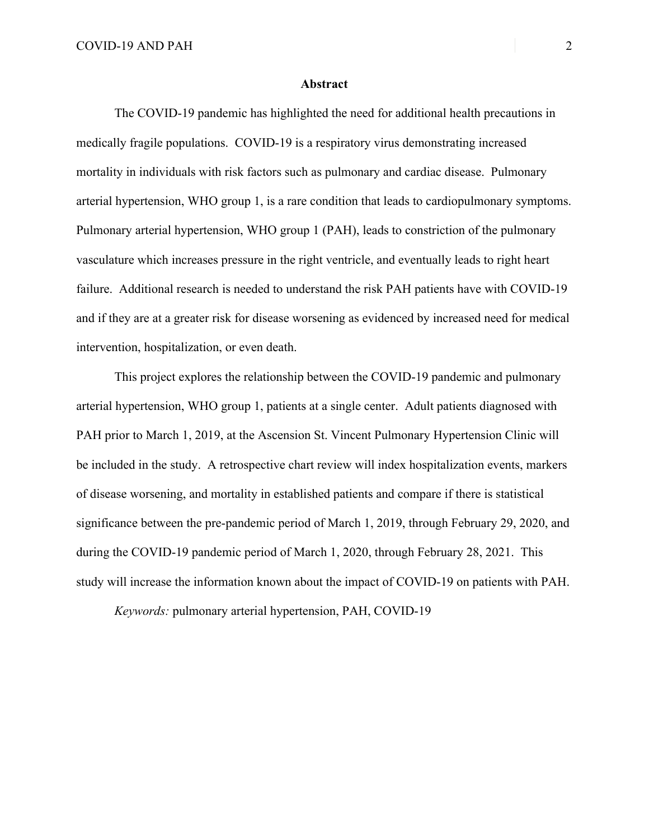## **Abstract**

The COVID-19 pandemic has highlighted the need for additional health precautions in medically fragile populations. COVID-19 is a respiratory virus demonstrating increased mortality in individuals with risk factors such as pulmonary and cardiac disease. Pulmonary arterial hypertension, WHO group 1, is a rare condition that leads to cardiopulmonary symptoms. Pulmonary arterial hypertension, WHO group 1 (PAH), leads to constriction of the pulmonary vasculature which increases pressure in the right ventricle, and eventually leads to right heart failure. Additional research is needed to understand the risk PAH patients have with COVID-19 and if they are at a greater risk for disease worsening as evidenced by increased need for medical intervention, hospitalization, or even death.

This project explores the relationship between the COVID-19 pandemic and pulmonary arterial hypertension, WHO group 1, patients at a single center. Adult patients diagnosed with PAH prior to March 1, 2019, at the Ascension St. Vincent Pulmonary Hypertension Clinic will be included in the study. A retrospective chart review will index hospitalization events, markers of disease worsening, and mortality in established patients and compare if there is statistical significance between the pre-pandemic period of March 1, 2019, through February 29, 2020, and during the COVID-19 pandemic period of March 1, 2020, through February 28, 2021. This study will increase the information known about the impact of COVID-19 on patients with PAH.

*Keywords:* pulmonary arterial hypertension, PAH, COVID-19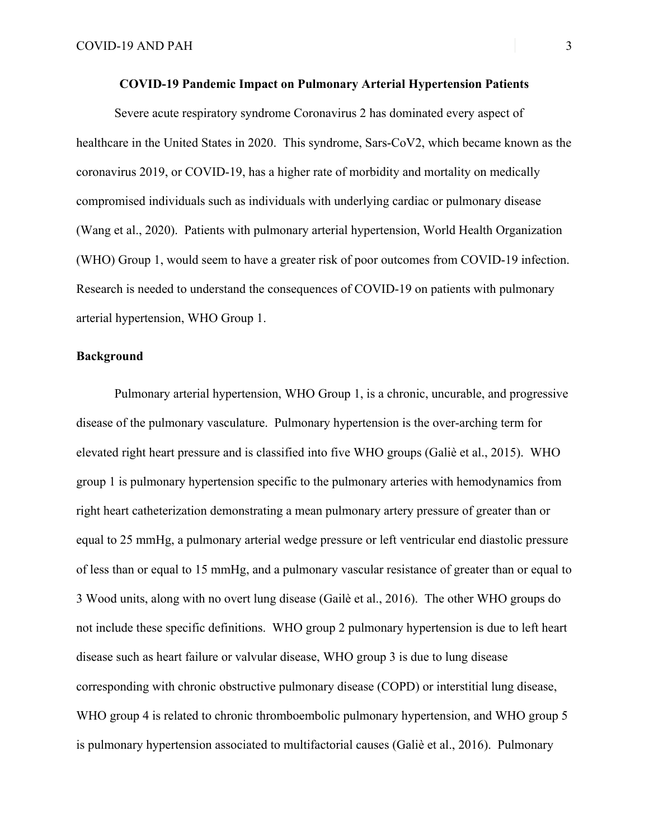Severe acute respiratory syndrome Coronavirus 2 has dominated every aspect of healthcare in the United States in 2020. This syndrome, Sars-CoV2, which became known as the coronavirus 2019, or COVID-19, has a higher rate of morbidity and mortality on medically compromised individuals such as individuals with underlying cardiac or pulmonary disease (Wang et al., 2020). Patients with pulmonary arterial hypertension, World Health Organization (WHO) Group 1, would seem to have a greater risk of poor outcomes from COVID-19 infection. Research is needed to understand the consequences of COVID-19 on patients with pulmonary arterial hypertension, WHO Group 1.

# **Background**

Pulmonary arterial hypertension, WHO Group 1, is a chronic, uncurable, and progressive disease of the pulmonary vasculature. Pulmonary hypertension is the over-arching term for elevated right heart pressure and is classified into five WHO groups (Galiè et al., 2015). WHO group 1 is pulmonary hypertension specific to the pulmonary arteries with hemodynamics from right heart catheterization demonstrating a mean pulmonary artery pressure of greater than or equal to 25 mmHg, a pulmonary arterial wedge pressure or left ventricular end diastolic pressure of less than or equal to 15 mmHg, and a pulmonary vascular resistance of greater than or equal to 3 Wood units, along with no overt lung disease (Gailè et al., 2016). The other WHO groups do not include these specific definitions. WHO group 2 pulmonary hypertension is due to left heart disease such as heart failure or valvular disease, WHO group 3 is due to lung disease corresponding with chronic obstructive pulmonary disease (COPD) or interstitial lung disease, WHO group 4 is related to chronic thromboembolic pulmonary hypertension, and WHO group 5 is pulmonary hypertension associated to multifactorial causes (Galiè et al., 2016). Pulmonary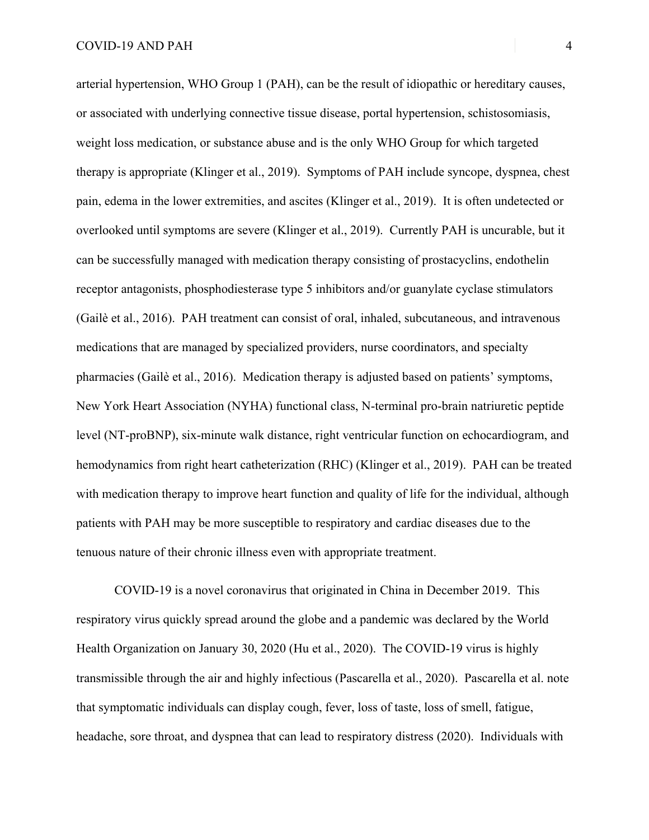arterial hypertension, WHO Group 1 (PAH), can be the result of idiopathic or hereditary causes, or associated with underlying connective tissue disease, portal hypertension, schistosomiasis, weight loss medication, or substance abuse and is the only WHO Group for which targeted therapy is appropriate (Klinger et al., 2019). Symptoms of PAH include syncope, dyspnea, chest pain, edema in the lower extremities, and ascites (Klinger et al., 2019). It is often undetected or overlooked until symptoms are severe (Klinger et al., 2019). Currently PAH is uncurable, but it can be successfully managed with medication therapy consisting of prostacyclins, endothelin receptor antagonists, phosphodiesterase type 5 inhibitors and/or guanylate cyclase stimulators (Gailè et al., 2016). PAH treatment can consist of oral, inhaled, subcutaneous, and intravenous medications that are managed by specialized providers, nurse coordinators, and specialty pharmacies (Gailè et al., 2016). Medication therapy is adjusted based on patients' symptoms, New York Heart Association (NYHA) functional class, N-terminal pro-brain natriuretic peptide level (NT-proBNP), six-minute walk distance, right ventricular function on echocardiogram, and hemodynamics from right heart catheterization (RHC) (Klinger et al., 2019). PAH can be treated with medication therapy to improve heart function and quality of life for the individual, although patients with PAH may be more susceptible to respiratory and cardiac diseases due to the tenuous nature of their chronic illness even with appropriate treatment.

COVID-19 is a novel coronavirus that originated in China in December 2019. This respiratory virus quickly spread around the globe and a pandemic was declared by the World Health Organization on January 30, 2020 (Hu et al., 2020). The COVID-19 virus is highly transmissible through the air and highly infectious (Pascarella et al., 2020). Pascarella et al. note that symptomatic individuals can display cough, fever, loss of taste, loss of smell, fatigue, headache, sore throat, and dyspnea that can lead to respiratory distress (2020). Individuals with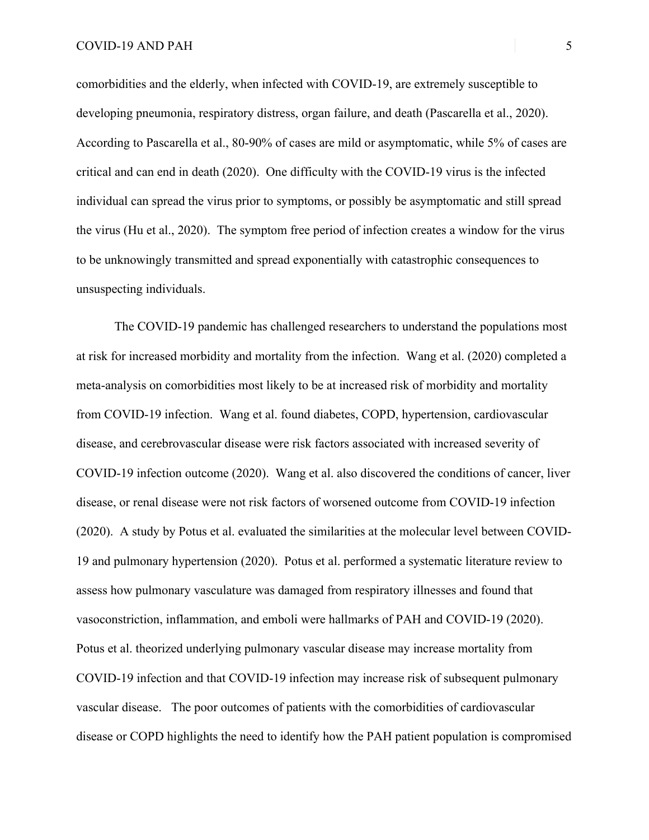comorbidities and the elderly, when infected with COVID-19, are extremely susceptible to developing pneumonia, respiratory distress, organ failure, and death (Pascarella et al., 2020). According to Pascarella et al., 80-90% of cases are mild or asymptomatic, while 5% of cases are critical and can end in death (2020). One difficulty with the COVID-19 virus is the infected individual can spread the virus prior to symptoms, or possibly be asymptomatic and still spread the virus (Hu et al., 2020). The symptom free period of infection creates a window for the virus to be unknowingly transmitted and spread exponentially with catastrophic consequences to unsuspecting individuals.

The COVID-19 pandemic has challenged researchers to understand the populations most at risk for increased morbidity and mortality from the infection. Wang et al. (2020) completed a meta-analysis on comorbidities most likely to be at increased risk of morbidity and mortality from COVID-19 infection. Wang et al. found diabetes, COPD, hypertension, cardiovascular disease, and cerebrovascular disease were risk factors associated with increased severity of COVID-19 infection outcome (2020). Wang et al. also discovered the conditions of cancer, liver disease, or renal disease were not risk factors of worsened outcome from COVID-19 infection (2020). A study by Potus et al. evaluated the similarities at the molecular level between COVID-19 and pulmonary hypertension (2020). Potus et al. performed a systematic literature review to assess how pulmonary vasculature was damaged from respiratory illnesses and found that vasoconstriction, inflammation, and emboli were hallmarks of PAH and COVID-19 (2020). Potus et al. theorized underlying pulmonary vascular disease may increase mortality from COVID-19 infection and that COVID-19 infection may increase risk of subsequent pulmonary vascular disease. The poor outcomes of patients with the comorbidities of cardiovascular disease or COPD highlights the need to identify how the PAH patient population is compromised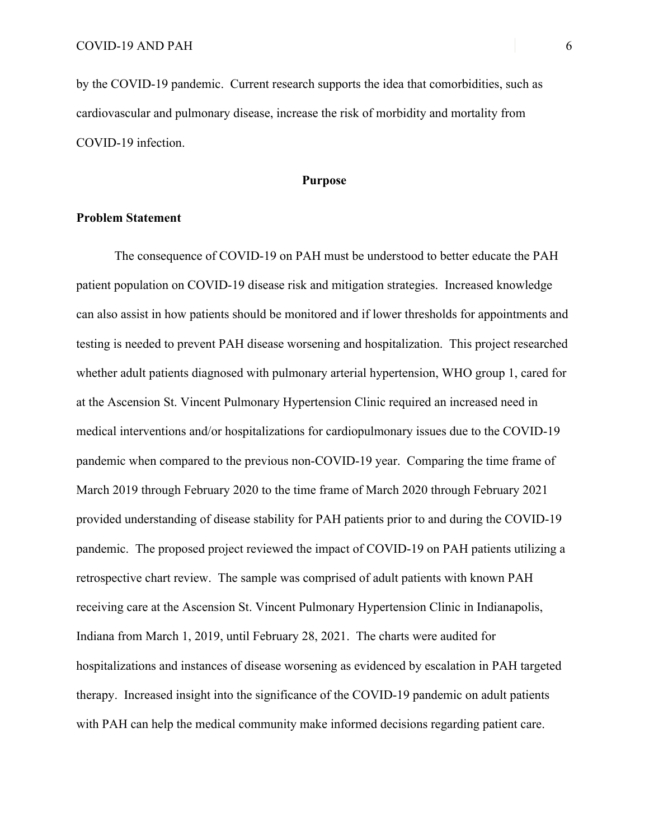by the COVID-19 pandemic. Current research supports the idea that comorbidities, such as cardiovascular and pulmonary disease, increase the risk of morbidity and mortality from COVID-19 infection.

# **Purpose**

## **Problem Statement**

The consequence of COVID-19 on PAH must be understood to better educate the PAH patient population on COVID-19 disease risk and mitigation strategies. Increased knowledge can also assist in how patients should be monitored and if lower thresholds for appointments and testing is needed to prevent PAH disease worsening and hospitalization. This project researched whether adult patients diagnosed with pulmonary arterial hypertension, WHO group 1, cared for at the Ascension St. Vincent Pulmonary Hypertension Clinic required an increased need in medical interventions and/or hospitalizations for cardiopulmonary issues due to the COVID-19 pandemic when compared to the previous non-COVID-19 year. Comparing the time frame of March 2019 through February 2020 to the time frame of March 2020 through February 2021 provided understanding of disease stability for PAH patients prior to and during the COVID-19 pandemic. The proposed project reviewed the impact of COVID-19 on PAH patients utilizing a retrospective chart review. The sample was comprised of adult patients with known PAH receiving care at the Ascension St. Vincent Pulmonary Hypertension Clinic in Indianapolis, Indiana from March 1, 2019, until February 28, 2021. The charts were audited for hospitalizations and instances of disease worsening as evidenced by escalation in PAH targeted therapy. Increased insight into the significance of the COVID-19 pandemic on adult patients with PAH can help the medical community make informed decisions regarding patient care.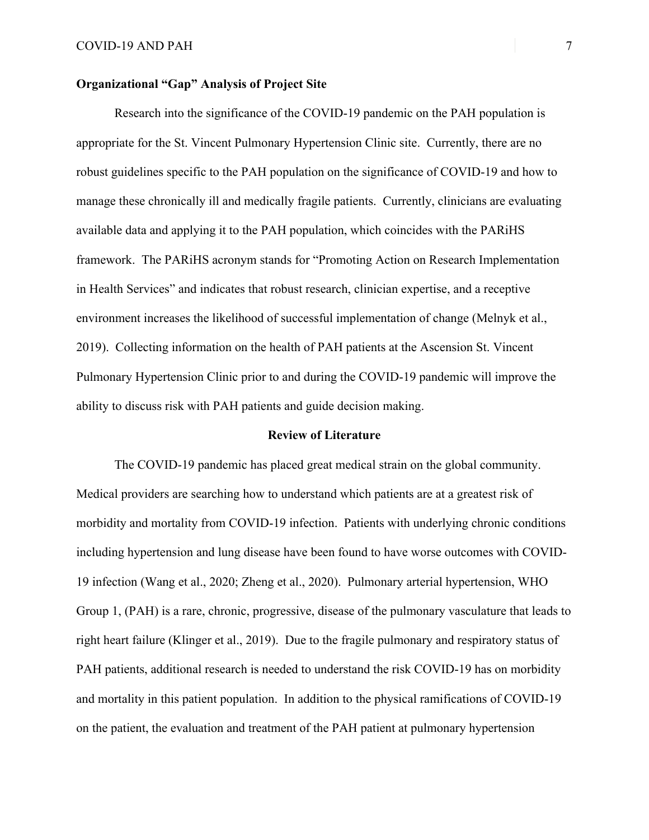# **Organizational "Gap" Analysis of Project Site**

Research into the significance of the COVID-19 pandemic on the PAH population is appropriate for the St. Vincent Pulmonary Hypertension Clinic site. Currently, there are no robust guidelines specific to the PAH population on the significance of COVID-19 and how to manage these chronically ill and medically fragile patients. Currently, clinicians are evaluating available data and applying it to the PAH population, which coincides with the PARiHS framework. The PARiHS acronym stands for "Promoting Action on Research Implementation in Health Services" and indicates that robust research, clinician expertise, and a receptive environment increases the likelihood of successful implementation of change (Melnyk et al., 2019). Collecting information on the health of PAH patients at the Ascension St. Vincent Pulmonary Hypertension Clinic prior to and during the COVID-19 pandemic will improve the ability to discuss risk with PAH patients and guide decision making.

#### **Review of Literature**

The COVID-19 pandemic has placed great medical strain on the global community. Medical providers are searching how to understand which patients are at a greatest risk of morbidity and mortality from COVID-19 infection. Patients with underlying chronic conditions including hypertension and lung disease have been found to have worse outcomes with COVID-19 infection (Wang et al., 2020; Zheng et al., 2020). Pulmonary arterial hypertension, WHO Group 1, (PAH) is a rare, chronic, progressive, disease of the pulmonary vasculature that leads to right heart failure (Klinger et al., 2019). Due to the fragile pulmonary and respiratory status of PAH patients, additional research is needed to understand the risk COVID-19 has on morbidity and mortality in this patient population. In addition to the physical ramifications of COVID-19 on the patient, the evaluation and treatment of the PAH patient at pulmonary hypertension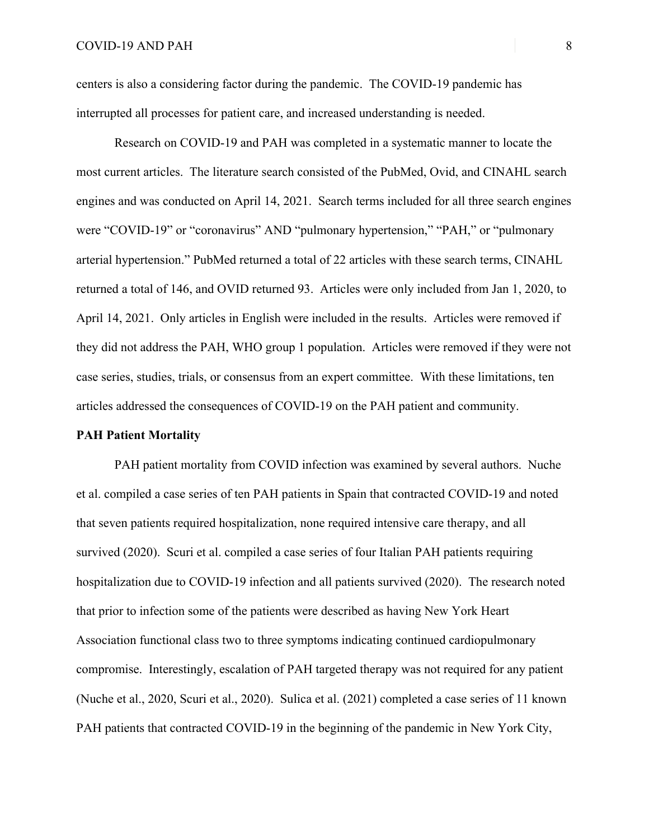centers is also a considering factor during the pandemic. The COVID-19 pandemic has interrupted all processes for patient care, and increased understanding is needed.

Research on COVID-19 and PAH was completed in a systematic manner to locate the most current articles. The literature search consisted of the PubMed, Ovid, and CINAHL search engines and was conducted on April 14, 2021. Search terms included for all three search engines were "COVID-19" or "coronavirus" AND "pulmonary hypertension," "PAH," or "pulmonary arterial hypertension." PubMed returned a total of 22 articles with these search terms, CINAHL returned a total of 146, and OVID returned 93. Articles were only included from Jan 1, 2020, to April 14, 2021. Only articles in English were included in the results. Articles were removed if they did not address the PAH, WHO group 1 population. Articles were removed if they were not case series, studies, trials, or consensus from an expert committee. With these limitations, ten articles addressed the consequences of COVID-19 on the PAH patient and community.

## **PAH Patient Mortality**

PAH patient mortality from COVID infection was examined by several authors. Nuche et al. compiled a case series of ten PAH patients in Spain that contracted COVID-19 and noted that seven patients required hospitalization, none required intensive care therapy, and all survived (2020). Scuri et al. compiled a case series of four Italian PAH patients requiring hospitalization due to COVID-19 infection and all patients survived (2020). The research noted that prior to infection some of the patients were described as having New York Heart Association functional class two to three symptoms indicating continued cardiopulmonary compromise. Interestingly, escalation of PAH targeted therapy was not required for any patient (Nuche et al., 2020, Scuri et al., 2020). Sulica et al. (2021) completed a case series of 11 known PAH patients that contracted COVID-19 in the beginning of the pandemic in New York City,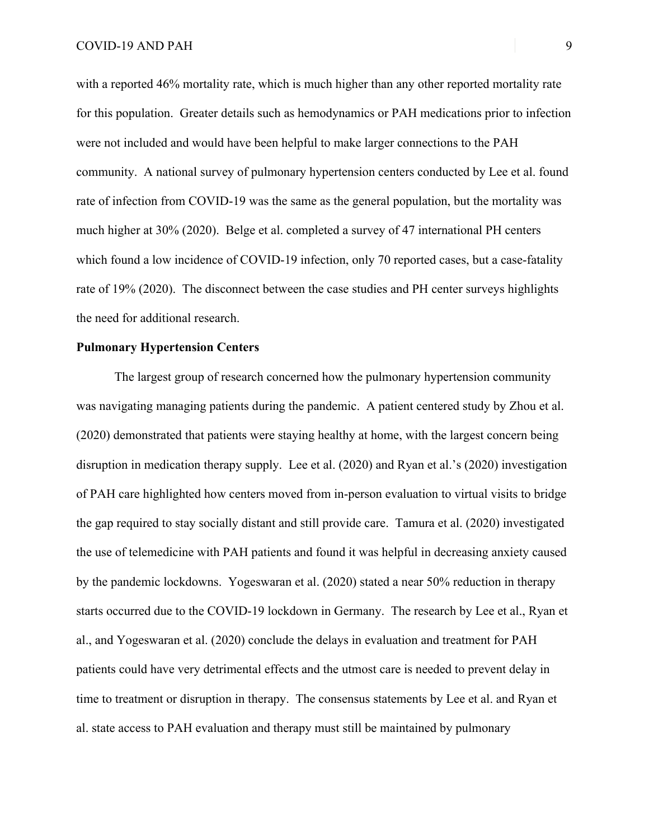with a reported 46% mortality rate, which is much higher than any other reported mortality rate for this population. Greater details such as hemodynamics or PAH medications prior to infection were not included and would have been helpful to make larger connections to the PAH community. A national survey of pulmonary hypertension centers conducted by Lee et al. found rate of infection from COVID-19 was the same as the general population, but the mortality was much higher at 30% (2020). Belge et al. completed a survey of 47 international PH centers which found a low incidence of COVID-19 infection, only 70 reported cases, but a case-fatality rate of 19% (2020). The disconnect between the case studies and PH center surveys highlights the need for additional research.

# **Pulmonary Hypertension Centers**

The largest group of research concerned how the pulmonary hypertension community was navigating managing patients during the pandemic. A patient centered study by Zhou et al. (2020) demonstrated that patients were staying healthy at home, with the largest concern being disruption in medication therapy supply. Lee et al. (2020) and Ryan et al.'s (2020) investigation of PAH care highlighted how centers moved from in-person evaluation to virtual visits to bridge the gap required to stay socially distant and still provide care. Tamura et al. (2020) investigated the use of telemedicine with PAH patients and found it was helpful in decreasing anxiety caused by the pandemic lockdowns. Yogeswaran et al. (2020) stated a near 50% reduction in therapy starts occurred due to the COVID-19 lockdown in Germany. The research by Lee et al., Ryan et al., and Yogeswaran et al. (2020) conclude the delays in evaluation and treatment for PAH patients could have very detrimental effects and the utmost care is needed to prevent delay in time to treatment or disruption in therapy. The consensus statements by Lee et al. and Ryan et al. state access to PAH evaluation and therapy must still be maintained by pulmonary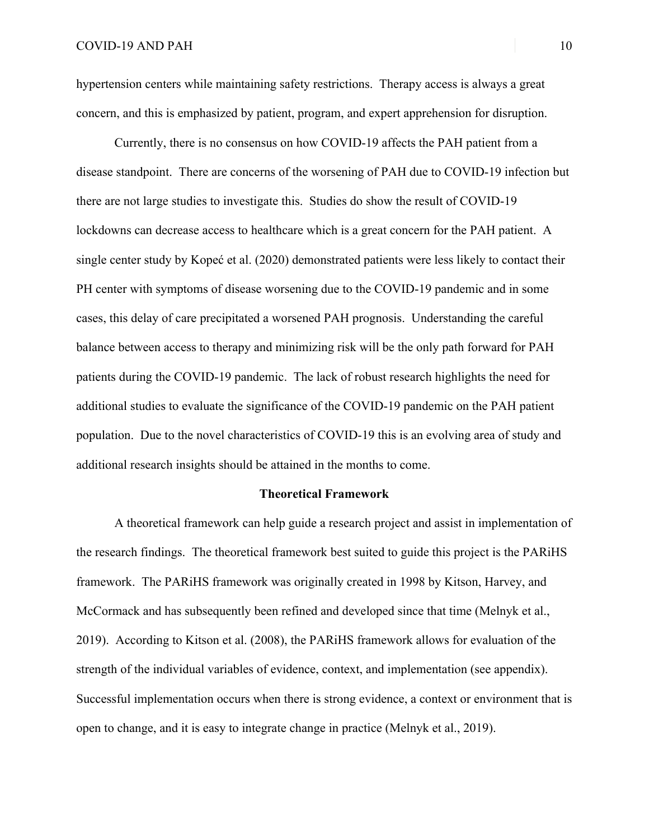hypertension centers while maintaining safety restrictions. Therapy access is always a great concern, and this is emphasized by patient, program, and expert apprehension for disruption.

Currently, there is no consensus on how COVID-19 affects the PAH patient from a disease standpoint. There are concerns of the worsening of PAH due to COVID-19 infection but there are not large studies to investigate this. Studies do show the result of COVID-19 lockdowns can decrease access to healthcare which is a great concern for the PAH patient. A single center study by Kopeć et al. (2020) demonstrated patients were less likely to contact their PH center with symptoms of disease worsening due to the COVID-19 pandemic and in some cases, this delay of care precipitated a worsened PAH prognosis. Understanding the careful balance between access to therapy and minimizing risk will be the only path forward for PAH patients during the COVID-19 pandemic. The lack of robust research highlights the need for additional studies to evaluate the significance of the COVID-19 pandemic on the PAH patient population. Due to the novel characteristics of COVID-19 this is an evolving area of study and additional research insights should be attained in the months to come.

## **Theoretical Framework**

A theoretical framework can help guide a research project and assist in implementation of the research findings. The theoretical framework best suited to guide this project is the PARiHS framework. The PARiHS framework was originally created in 1998 by Kitson, Harvey, and McCormack and has subsequently been refined and developed since that time (Melnyk et al., 2019). According to Kitson et al. (2008), the PARiHS framework allows for evaluation of the strength of the individual variables of evidence, context, and implementation (see appendix). Successful implementation occurs when there is strong evidence, a context or environment that is open to change, and it is easy to integrate change in practice (Melnyk et al., 2019).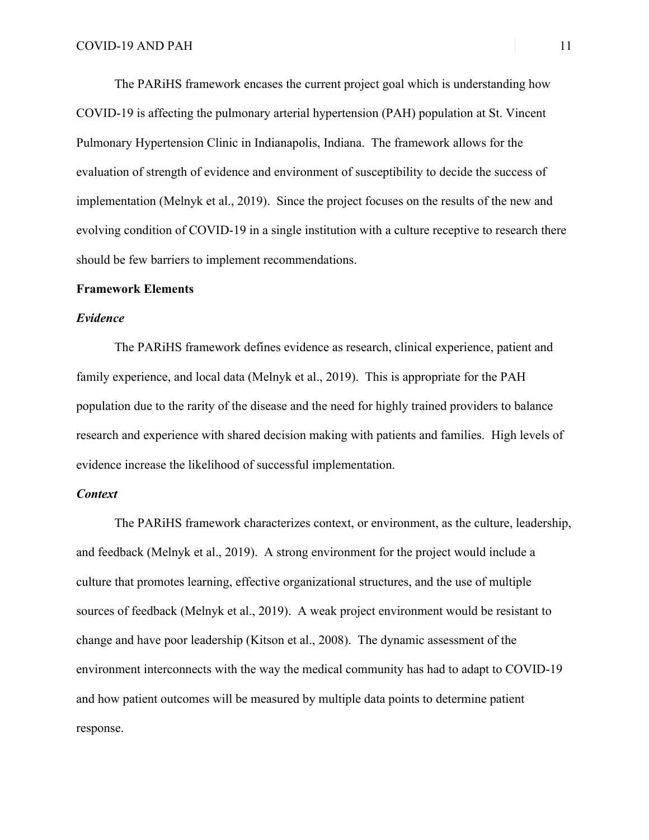The PARiHS framework encases the current project goal which is understanding how COVID-19 is affecting the pulmonary arterial hypertension (PAH) population at St. Vincent Pulmonary Hypertension Clinic in Indianapolis, Indiana. The framework allows for the evaluation of strength of evidence and environment of susceptibility to decide the success of implementation (Melnyk et al., 2019). Since the project focuses on the results of the new and evolving condition of COVID-19 in a single institution with a culture receptive to research there should be few barriers to implement recommendations.

## **Framework Elements**

## *Evidence*

The PARiHS framework defines evidence as research, clinical experience, patient and family experience, and local data (Melnyk et al., 2019). This is appropriate for the PAH population due to the rarity of the disease and the need for highly trained providers to balance research and experience with shared decision making with patients and families. High levels of evidence increase the likelihood of successful implementation.

# *Context*

The PARiHS framework characterizes context, or environment, as the culture, leadership, and feedback (Melnyk et al., 2019). A strong environment for the project would include a culture that promotes learning, effective organizational structures, and the use of multiple sources of feedback (Melnyk et al., 2019). A weak project environment would be resistant to change and have poor leadership (Kitson et al., 2008). The dynamic assessment of the environment interconnects with the way the medical community has had to adapt to COVID-19 and how patient outcomes will be measured by multiple data points to determine patient response.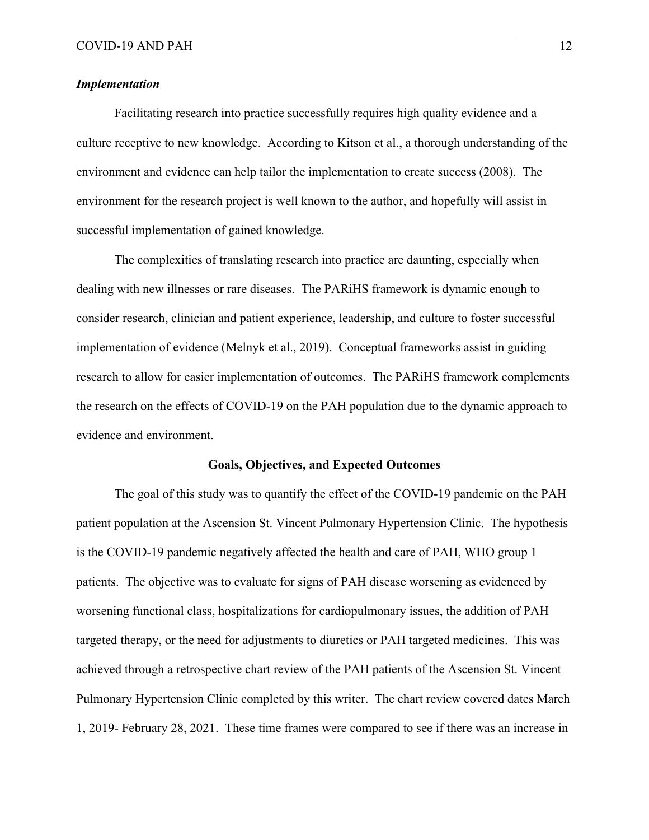# *Implementation*

Facilitating research into practice successfully requires high quality evidence and a culture receptive to new knowledge. According to Kitson et al., a thorough understanding of the environment and evidence can help tailor the implementation to create success (2008). The environment for the research project is well known to the author, and hopefully will assist in successful implementation of gained knowledge.

The complexities of translating research into practice are daunting, especially when dealing with new illnesses or rare diseases. The PARiHS framework is dynamic enough to consider research, clinician and patient experience, leadership, and culture to foster successful implementation of evidence (Melnyk et al., 2019). Conceptual frameworks assist in guiding research to allow for easier implementation of outcomes. The PARiHS framework complements the research on the effects of COVID-19 on the PAH population due to the dynamic approach to evidence and environment.

## **Goals, Objectives, and Expected Outcomes**

The goal of this study was to quantify the effect of the COVID-19 pandemic on the PAH patient population at the Ascension St. Vincent Pulmonary Hypertension Clinic. The hypothesis is the COVID-19 pandemic negatively affected the health and care of PAH, WHO group 1 patients. The objective was to evaluate for signs of PAH disease worsening as evidenced by worsening functional class, hospitalizations for cardiopulmonary issues, the addition of PAH targeted therapy, or the need for adjustments to diuretics or PAH targeted medicines. This was achieved through a retrospective chart review of the PAH patients of the Ascension St. Vincent Pulmonary Hypertension Clinic completed by this writer. The chart review covered dates March 1, 2019- February 28, 2021. These time frames were compared to see if there was an increase in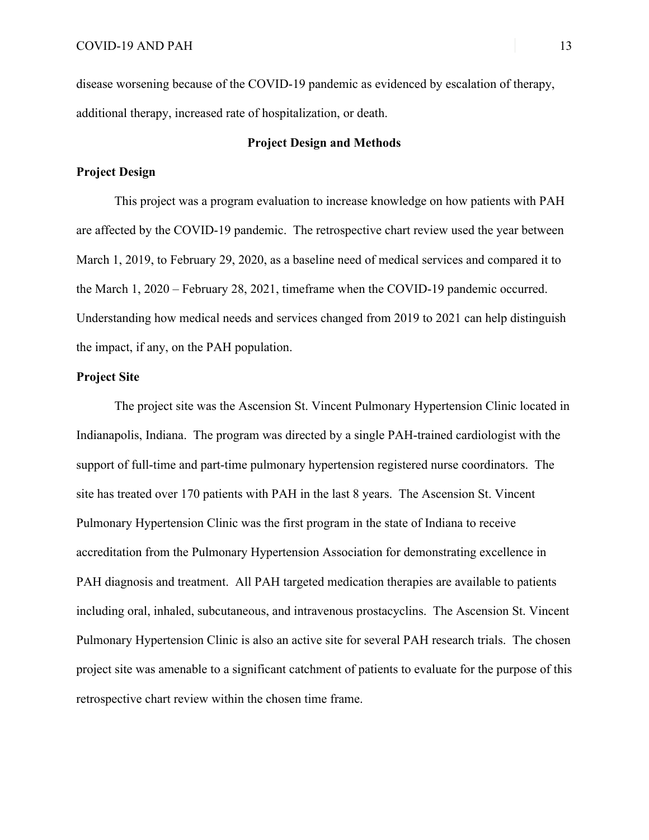disease worsening because of the COVID-19 pandemic as evidenced by escalation of therapy, additional therapy, increased rate of hospitalization, or death.

# **Project Design and Methods**

# **Project Design**

This project was a program evaluation to increase knowledge on how patients with PAH are affected by the COVID-19 pandemic. The retrospective chart review used the year between March 1, 2019, to February 29, 2020, as a baseline need of medical services and compared it to the March 1, 2020 – February 28, 2021, timeframe when the COVID-19 pandemic occurred. Understanding how medical needs and services changed from 2019 to 2021 can help distinguish the impact, if any, on the PAH population.

# **Project Site**

The project site was the Ascension St. Vincent Pulmonary Hypertension Clinic located in Indianapolis, Indiana. The program was directed by a single PAH-trained cardiologist with the support of full-time and part-time pulmonary hypertension registered nurse coordinators. The site has treated over 170 patients with PAH in the last 8 years. The Ascension St. Vincent Pulmonary Hypertension Clinic was the first program in the state of Indiana to receive accreditation from the Pulmonary Hypertension Association for demonstrating excellence in PAH diagnosis and treatment. All PAH targeted medication therapies are available to patients including oral, inhaled, subcutaneous, and intravenous prostacyclins. The Ascension St. Vincent Pulmonary Hypertension Clinic is also an active site for several PAH research trials. The chosen project site was amenable to a significant catchment of patients to evaluate for the purpose of this retrospective chart review within the chosen time frame.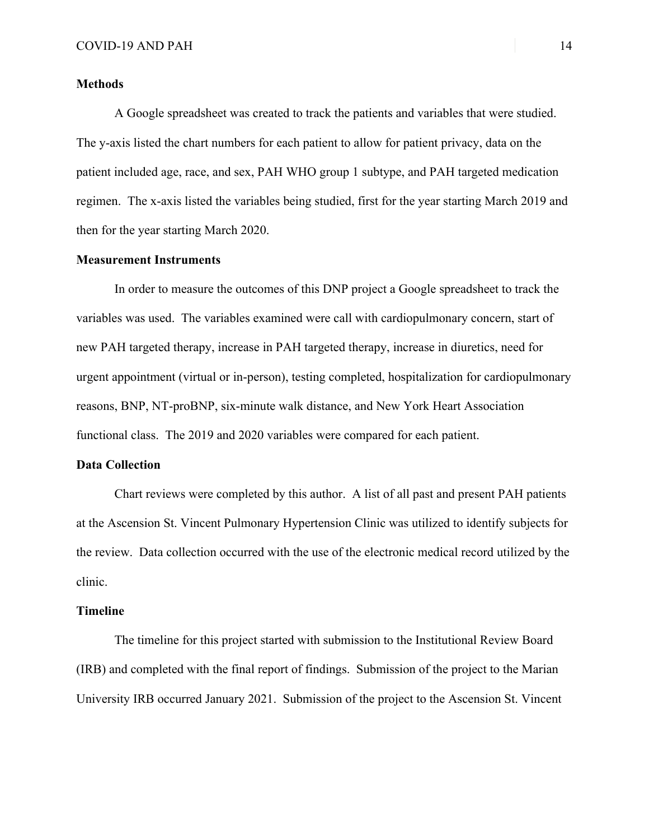## **Methods**

A Google spreadsheet was created to track the patients and variables that were studied. The y-axis listed the chart numbers for each patient to allow for patient privacy, data on the patient included age, race, and sex, PAH WHO group 1 subtype, and PAH targeted medication regimen. The x-axis listed the variables being studied, first for the year starting March 2019 and then for the year starting March 2020.

## **Measurement Instruments**

In order to measure the outcomes of this DNP project a Google spreadsheet to track the variables was used. The variables examined were call with cardiopulmonary concern, start of new PAH targeted therapy, increase in PAH targeted therapy, increase in diuretics, need for urgent appointment (virtual or in-person), testing completed, hospitalization for cardiopulmonary reasons, BNP, NT-proBNP, six-minute walk distance, and New York Heart Association functional class. The 2019 and 2020 variables were compared for each patient.

## **Data Collection**

Chart reviews were completed by this author. A list of all past and present PAH patients at the Ascension St. Vincent Pulmonary Hypertension Clinic was utilized to identify subjects for the review. Data collection occurred with the use of the electronic medical record utilized by the clinic.

## **Timeline**

The timeline for this project started with submission to the Institutional Review Board (IRB) and completed with the final report of findings. Submission of the project to the Marian University IRB occurred January 2021. Submission of the project to the Ascension St. Vincent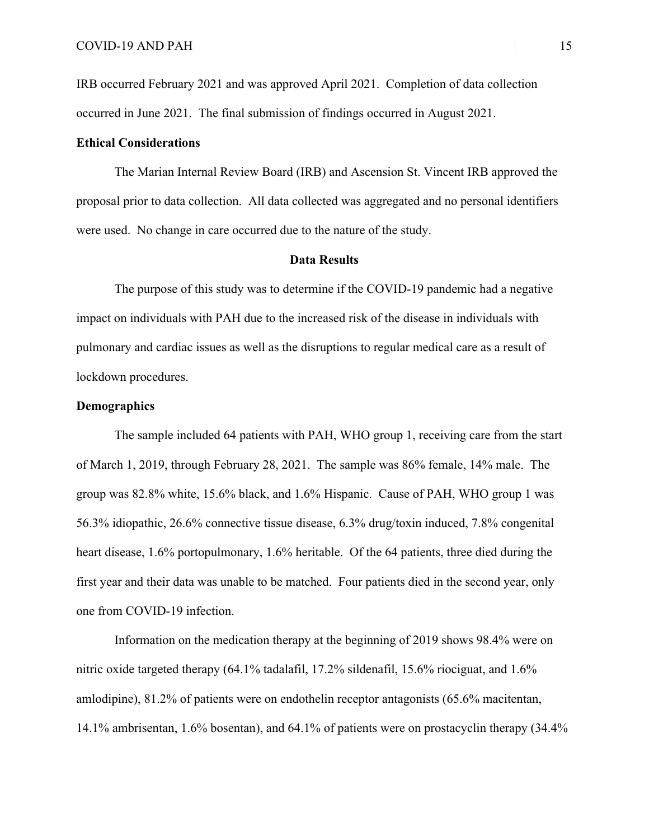IRB occurred February 2021 and was approved April 2021. Completion of data collection occurred in June 2021. The final submission of findings occurred in August 2021.

# **Ethical Considerations**

The Marian Internal Review Board (IRB) and Ascension St. Vincent IRB approved the proposal prior to data collection. All data collected was aggregated and no personal identifiers were used. No change in care occurred due to the nature of the study.

### **Data Results**

The purpose of this study was to determine if the COVID-19 pandemic had a negative impact on individuals with PAH due to the increased risk of the disease in individuals with pulmonary and cardiac issues as well as the disruptions to regular medical care as a result of lockdown procedures.

# **Demographics**

The sample included 64 patients with PAH, WHO group 1, receiving care from the start of March 1, 2019, through February 28, 2021. The sample was 86% female, 14% male. The group was 82.8% white, 15.6% black, and 1.6% Hispanic. Cause of PAH, WHO group 1 was 56.3% idiopathic, 26.6% connective tissue disease, 6.3% drug/toxin induced, 7.8% congenital heart disease, 1.6% portopulmonary, 1.6% heritable. Of the 64 patients, three died during the first year and their data was unable to be matched. Four patients died in the second year, only one from COVID-19 infection.

Information on the medication therapy at the beginning of 2019 shows 98.4% were on nitric oxide targeted therapy (64.1% tadalafil, 17.2% sildenafil, 15.6% riociguat, and 1.6% amlodipine), 81.2% of patients were on endothelin receptor antagonists (65.6% macitentan, 14.1% ambrisentan, 1.6% bosentan), and 64.1% of patients were on prostacyclin therapy (34.4%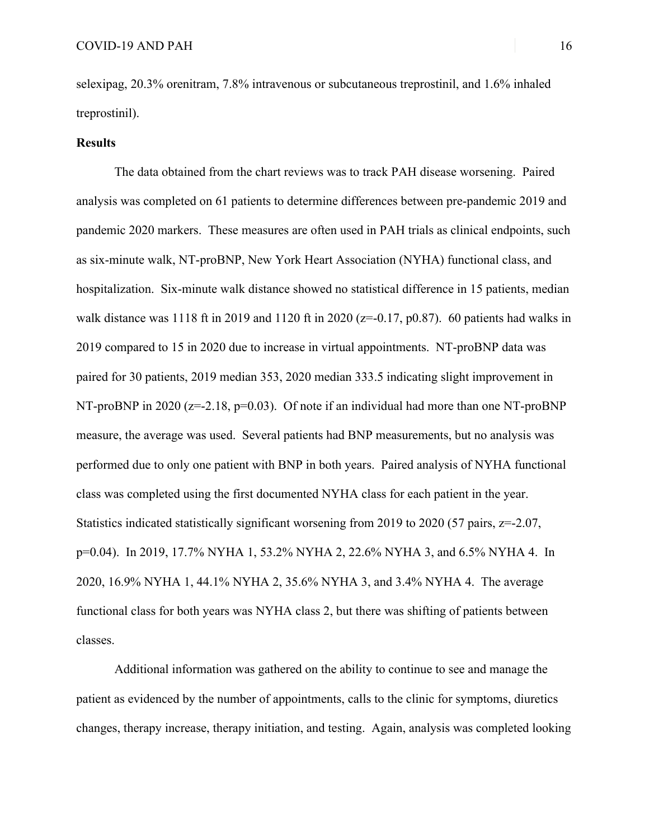selexipag, 20.3% orenitram, 7.8% intravenous or subcutaneous treprostinil, and 1.6% inhaled treprostinil).

## **Results**

The data obtained from the chart reviews was to track PAH disease worsening. Paired analysis was completed on 61 patients to determine differences between pre-pandemic 2019 and pandemic 2020 markers. These measures are often used in PAH trials as clinical endpoints, such as six-minute walk, NT-proBNP, New York Heart Association (NYHA) functional class, and hospitalization. Six-minute walk distance showed no statistical difference in 15 patients, median walk distance was 1118 ft in 2019 and 1120 ft in 2020 ( $z=0.17$ , p0.87). 60 patients had walks in 2019 compared to 15 in 2020 due to increase in virtual appointments. NT-proBNP data was paired for 30 patients, 2019 median 353, 2020 median 333.5 indicating slight improvement in NT-proBNP in 2020 ( $z=-2.18$ ,  $p=0.03$ ). Of note if an individual had more than one NT-proBNP measure, the average was used. Several patients had BNP measurements, but no analysis was performed due to only one patient with BNP in both years. Paired analysis of NYHA functional class was completed using the first documented NYHA class for each patient in the year. Statistics indicated statistically significant worsening from 2019 to 2020 (57 pairs, z=-2.07, p=0.04). In 2019, 17.7% NYHA 1, 53.2% NYHA 2, 22.6% NYHA 3, and 6.5% NYHA 4. In 2020, 16.9% NYHA 1, 44.1% NYHA 2, 35.6% NYHA 3, and 3.4% NYHA 4. The average functional class for both years was NYHA class 2, but there was shifting of patients between classes.

Additional information was gathered on the ability to continue to see and manage the patient as evidenced by the number of appointments, calls to the clinic for symptoms, diuretics changes, therapy increase, therapy initiation, and testing. Again, analysis was completed looking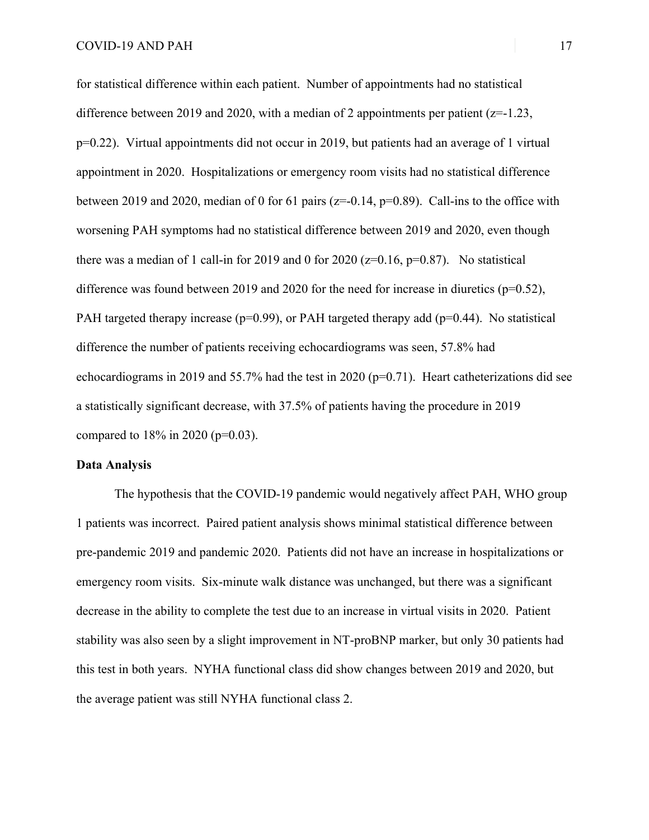for statistical difference within each patient. Number of appointments had no statistical difference between 2019 and 2020, with a median of 2 appointments per patient  $(z=1.23, z=0.25)$ p=0.22). Virtual appointments did not occur in 2019, but patients had an average of 1 virtual appointment in 2020. Hospitalizations or emergency room visits had no statistical difference between 2019 and 2020, median of 0 for 61 pairs ( $z=0.14$ ,  $p=0.89$ ). Call-ins to the office with worsening PAH symptoms had no statistical difference between 2019 and 2020, even though there was a median of 1 call-in for 2019 and 0 for 2020 ( $z=0.16$ ,  $p=0.87$ ). No statistical difference was found between 2019 and 2020 for the need for increase in diuretics ( $p=0.52$ ), PAH targeted therapy increase ( $p=0.99$ ), or PAH targeted therapy add ( $p=0.44$ ). No statistical difference the number of patients receiving echocardiograms was seen, 57.8% had echocardiograms in 2019 and 55.7% had the test in 2020 (p=0.71). Heart catheterizations did see a statistically significant decrease, with 37.5% of patients having the procedure in 2019 compared to 18% in 2020 (p=0.03).

## **Data Analysis**

The hypothesis that the COVID-19 pandemic would negatively affect PAH, WHO group 1 patients was incorrect. Paired patient analysis shows minimal statistical difference between pre-pandemic 2019 and pandemic 2020. Patients did not have an increase in hospitalizations or emergency room visits. Six-minute walk distance was unchanged, but there was a significant decrease in the ability to complete the test due to an increase in virtual visits in 2020. Patient stability was also seen by a slight improvement in NT-proBNP marker, but only 30 patients had this test in both years. NYHA functional class did show changes between 2019 and 2020, but the average patient was still NYHA functional class 2.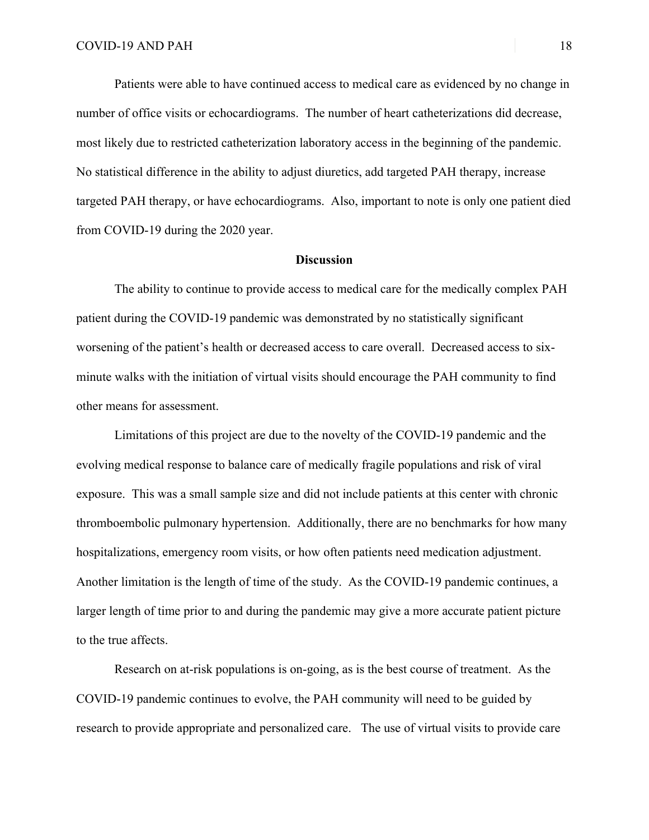Patients were able to have continued access to medical care as evidenced by no change in number of office visits or echocardiograms. The number of heart catheterizations did decrease, most likely due to restricted catheterization laboratory access in the beginning of the pandemic. No statistical difference in the ability to adjust diuretics, add targeted PAH therapy, increase targeted PAH therapy, or have echocardiograms. Also, important to note is only one patient died from COVID-19 during the 2020 year.

# **Discussion**

The ability to continue to provide access to medical care for the medically complex PAH patient during the COVID-19 pandemic was demonstrated by no statistically significant worsening of the patient's health or decreased access to care overall. Decreased access to sixminute walks with the initiation of virtual visits should encourage the PAH community to find other means for assessment.

Limitations of this project are due to the novelty of the COVID-19 pandemic and the evolving medical response to balance care of medically fragile populations and risk of viral exposure. This was a small sample size and did not include patients at this center with chronic thromboembolic pulmonary hypertension. Additionally, there are no benchmarks for how many hospitalizations, emergency room visits, or how often patients need medication adjustment. Another limitation is the length of time of the study. As the COVID-19 pandemic continues, a larger length of time prior to and during the pandemic may give a more accurate patient picture to the true affects.

Research on at-risk populations is on-going, as is the best course of treatment. As the COVID-19 pandemic continues to evolve, the PAH community will need to be guided by research to provide appropriate and personalized care. The use of virtual visits to provide care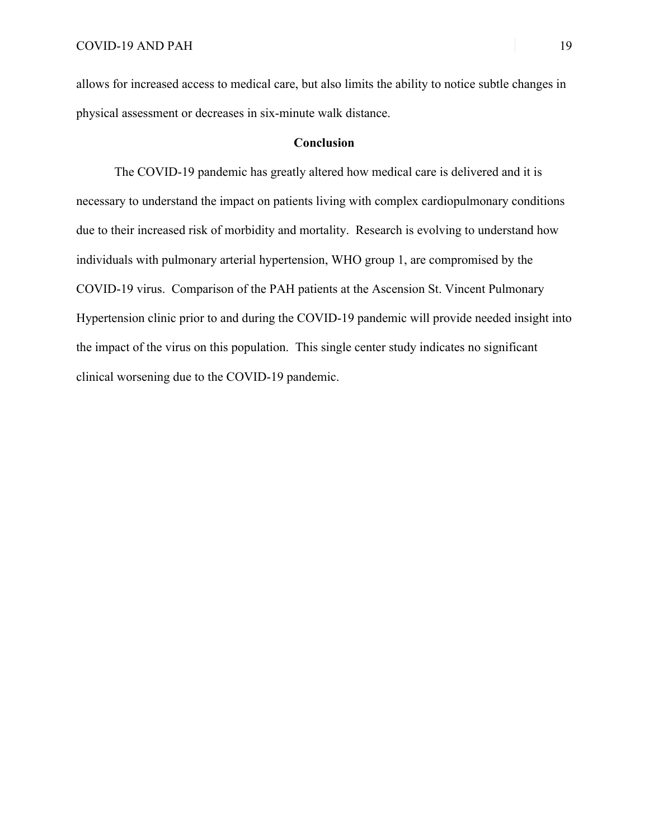allows for increased access to medical care, but also limits the ability to notice subtle changes in physical assessment or decreases in six-minute walk distance.

## **Conclusion**

The COVID-19 pandemic has greatly altered how medical care is delivered and it is necessary to understand the impact on patients living with complex cardiopulmonary conditions due to their increased risk of morbidity and mortality. Research is evolving to understand how individuals with pulmonary arterial hypertension, WHO group 1, are compromised by the COVID-19 virus. Comparison of the PAH patients at the Ascension St. Vincent Pulmonary Hypertension clinic prior to and during the COVID-19 pandemic will provide needed insight into the impact of the virus on this population. This single center study indicates no significant clinical worsening due to the COVID-19 pandemic.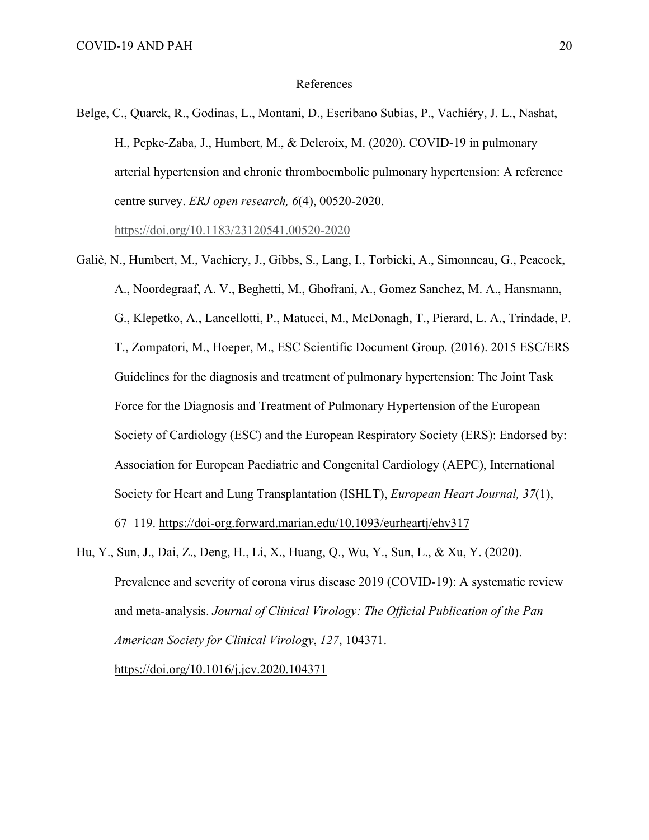## References

Belge, C., Quarck, R., Godinas, L., Montani, D., Escribano Subias, P., Vachiéry, J. L., Nashat, H., Pepke-Zaba, J., Humbert, M., & Delcroix, M. (2020). COVID-19 in pulmonary arterial hypertension and chronic thromboembolic pulmonary hypertension: A reference centre survey. *ERJ open research, 6*(4), 00520-2020.

https://doi.org/10.1183/23120541.00520-2020

- Galiè, N., Humbert, M., Vachiery, J., Gibbs, S., Lang, I., Torbicki, A., Simonneau, G., Peacock, A., Noordegraaf, A. V., Beghetti, M., Ghofrani, A., Gomez Sanchez, M. A., Hansmann, G., Klepetko, A., Lancellotti, P., Matucci, M., McDonagh, T., Pierard, L. A., Trindade, P. T., Zompatori, M., Hoeper, M., ESC Scientific Document Group. (2016). 2015 ESC/ERS Guidelines for the diagnosis and treatment of pulmonary hypertension: The Joint Task Force for the Diagnosis and Treatment of Pulmonary Hypertension of the European Society of Cardiology (ESC) and the European Respiratory Society (ERS): Endorsed by: Association for European Paediatric and Congenital Cardiology (AEPC), International Society for Heart and Lung Transplantation (ISHLT), *European Heart Journal, 37*(1), 67–119. https://doi-org.forward.marian.edu/10.1093/eurheartj/ehv317
- Hu, Y., Sun, J., Dai, Z., Deng, H., Li, X., Huang, Q., Wu, Y., Sun, L., & Xu, Y. (2020). Prevalence and severity of corona virus disease 2019 (COVID-19): A systematic review and meta-analysis. *Journal of Clinical Virology: The Official Publication of the Pan American Society for Clinical Virology*, *127*, 104371.

https://doi.org/10.1016/j.jcv.2020.104371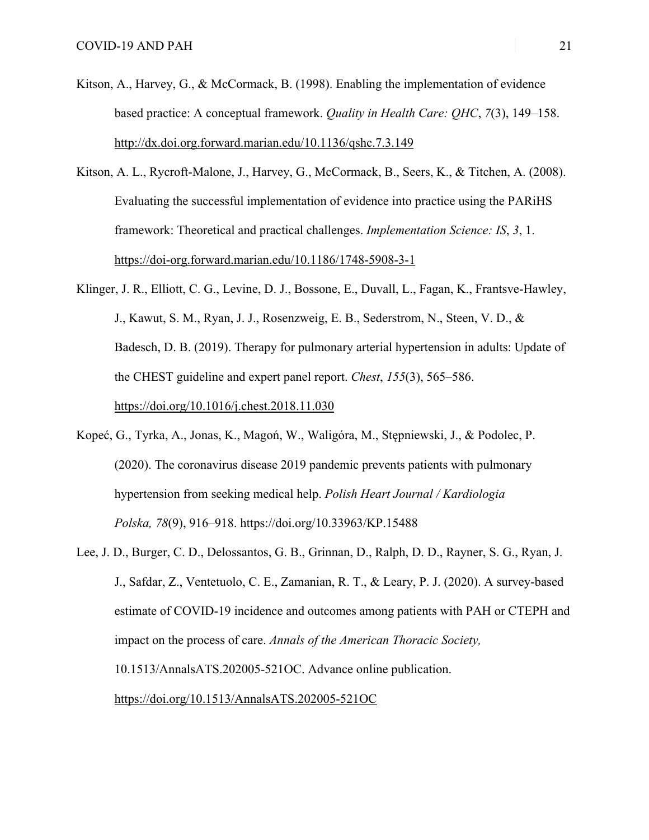- Kitson, A., Harvey, G., & McCormack, B. (1998). Enabling the implementation of evidence based practice: A conceptual framework. *Quality in Health Care: QHC*, *7*(3), 149–158. http://dx.doi.org.forward.marian.edu/10.1136/qshc.7.3.149
- Kitson, A. L., Rycroft-Malone, J., Harvey, G., McCormack, B., Seers, K., & Titchen, A. (2008). Evaluating the successful implementation of evidence into practice using the PARiHS framework: Theoretical and practical challenges. *Implementation Science: IS*, *3*, 1. https://doi-org.forward.marian.edu/10.1186/1748-5908-3-1
- Klinger, J. R., Elliott, C. G., Levine, D. J., Bossone, E., Duvall, L., Fagan, K., Frantsve-Hawley, J., Kawut, S. M., Ryan, J. J., Rosenzweig, E. B., Sederstrom, N., Steen, V. D., & Badesch, D. B. (2019). Therapy for pulmonary arterial hypertension in adults: Update of the CHEST guideline and expert panel report. *Chest*, *155*(3), 565–586. https://doi.org/10.1016/j.chest.2018.11.030
- Kopeć, G., Tyrka, A., Jonas, K., Magoń, W., Waligóra, M., Stępniewski, J., & Podolec, P. (2020). The coronavirus disease 2019 pandemic prevents patients with pulmonary hypertension from seeking medical help. *Polish Heart Journal / Kardiologia Polska, 78*(9), 916–918. https://doi.org/10.33963/KP.15488
- Lee, J. D., Burger, C. D., Delossantos, G. B., Grinnan, D., Ralph, D. D., Rayner, S. G., Ryan, J. J., Safdar, Z., Ventetuolo, C. E., Zamanian, R. T., & Leary, P. J. (2020). A survey-based estimate of COVID-19 incidence and outcomes among patients with PAH or CTEPH and impact on the process of care. *Annals of the American Thoracic Society,* 10.1513/AnnalsATS.202005-521OC. Advance online publication. https://doi.org/10.1513/AnnalsATS.202005-521OC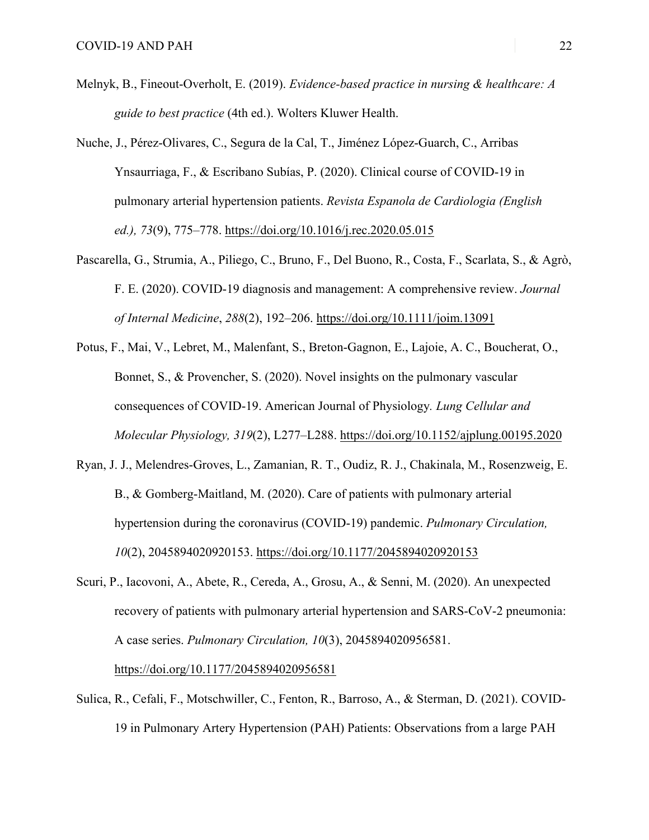- Melnyk, B., Fineout-Overholt, E. (2019). *Evidence-based practice in nursing & healthcare: A guide to best practice* (4th ed.). Wolters Kluwer Health.
- Nuche, J., Pérez-Olivares, C., Segura de la Cal, T., Jiménez López-Guarch, C., Arribas Ynsaurriaga, F., & Escribano Subías, P. (2020). Clinical course of COVID-19 in pulmonary arterial hypertension patients. *Revista Espanola de Cardiologia (English ed.), 73*(9), 775–778. https://doi.org/10.1016/j.rec.2020.05.015
- Pascarella, G., Strumia, A., Piliego, C., Bruno, F., Del Buono, R., Costa, F., Scarlata, S., & Agrò, F. E. (2020). COVID-19 diagnosis and management: A comprehensive review. *Journal of Internal Medicine*, *288*(2), 192–206. https://doi.org/10.1111/joim.13091
- Potus, F., Mai, V., Lebret, M., Malenfant, S., Breton-Gagnon, E., Lajoie, A. C., Boucherat, O., Bonnet, S., & Provencher, S. (2020). Novel insights on the pulmonary vascular consequences of COVID-19. American Journal of Physiology*. Lung Cellular and Molecular Physiology, 319*(2), L277–L288. https://doi.org/10.1152/ajplung.00195.2020
- Ryan, J. J., Melendres-Groves, L., Zamanian, R. T., Oudiz, R. J., Chakinala, M., Rosenzweig, E. B., & Gomberg-Maitland, M. (2020). Care of patients with pulmonary arterial hypertension during the coronavirus (COVID-19) pandemic. *Pulmonary Circulation, 10*(2), 2045894020920153. https://doi.org/10.1177/2045894020920153
- Scuri, P., Iacovoni, A., Abete, R., Cereda, A., Grosu, A., & Senni, M. (2020). An unexpected recovery of patients with pulmonary arterial hypertension and SARS-CoV-2 pneumonia: A case series. *Pulmonary Circulation, 10*(3), 2045894020956581.

https://doi.org/10.1177/2045894020956581

Sulica, R., Cefali, F., Motschwiller, C., Fenton, R., Barroso, A., & Sterman, D. (2021). COVID-19 in Pulmonary Artery Hypertension (PAH) Patients: Observations from a large PAH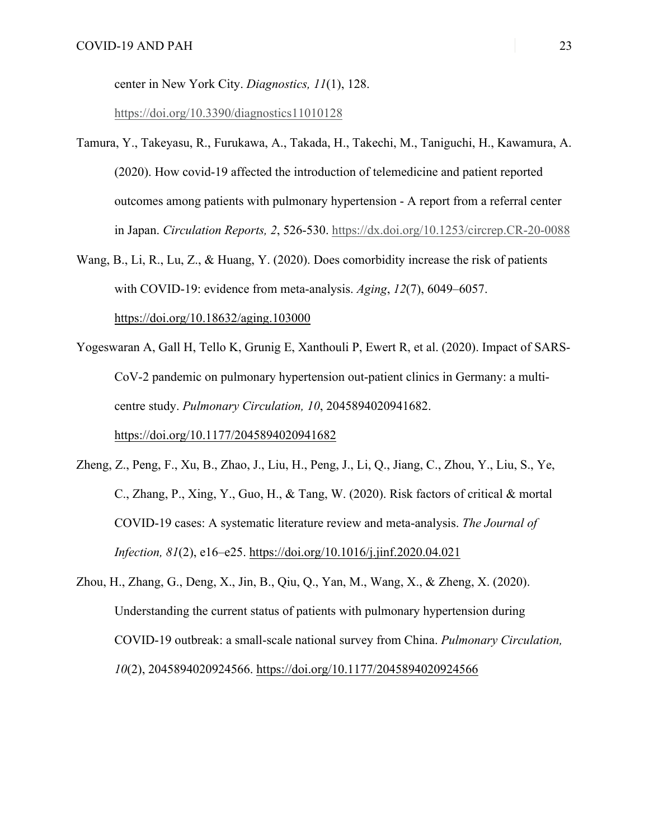center in New York City. *Diagnostics, 11*(1), 128.

https://doi.org/10.3390/diagnostics11010128

- Tamura, Y., Takeyasu, R., Furukawa, A., Takada, H., Takechi, M., Taniguchi, H., Kawamura, A. (2020). How covid-19 affected the introduction of telemedicine and patient reported outcomes among patients with pulmonary hypertension - A report from a referral center in Japan. *Circulation Reports, 2*, 526-530. https://dx.doi.org/10.1253/circrep.CR-20-0088
- Wang, B., Li, R., Lu, Z., & Huang, Y. (2020). Does comorbidity increase the risk of patients with COVID-19: evidence from meta-analysis. *Aging*, *12*(7), 6049–6057. https://doi.org/10.18632/aging.103000
- Yogeswaran A, Gall H, Tello K, Grunig E, Xanthouli P, Ewert R, et al. (2020). Impact of SARS-CoV-2 pandemic on pulmonary hypertension out-patient clinics in Germany: a multicentre study. *Pulmonary Circulation, 10*, 2045894020941682. https://doi.org/10.1177/2045894020941682
- Zheng, Z., Peng, F., Xu, B., Zhao, J., Liu, H., Peng, J., Li, Q., Jiang, C., Zhou, Y., Liu, S., Ye, C., Zhang, P., Xing, Y., Guo, H., & Tang, W. (2020). Risk factors of critical & mortal COVID-19 cases: A systematic literature review and meta-analysis. *The Journal of Infection, 81*(2), e16–e25. https://doi.org/10.1016/j.jinf.2020.04.021
- Zhou, H., Zhang, G., Deng, X., Jin, B., Qiu, Q., Yan, M., Wang, X., & Zheng, X. (2020). Understanding the current status of patients with pulmonary hypertension during COVID-19 outbreak: a small-scale national survey from China. *Pulmonary Circulation, 10*(2), 2045894020924566. https://doi.org/10.1177/2045894020924566